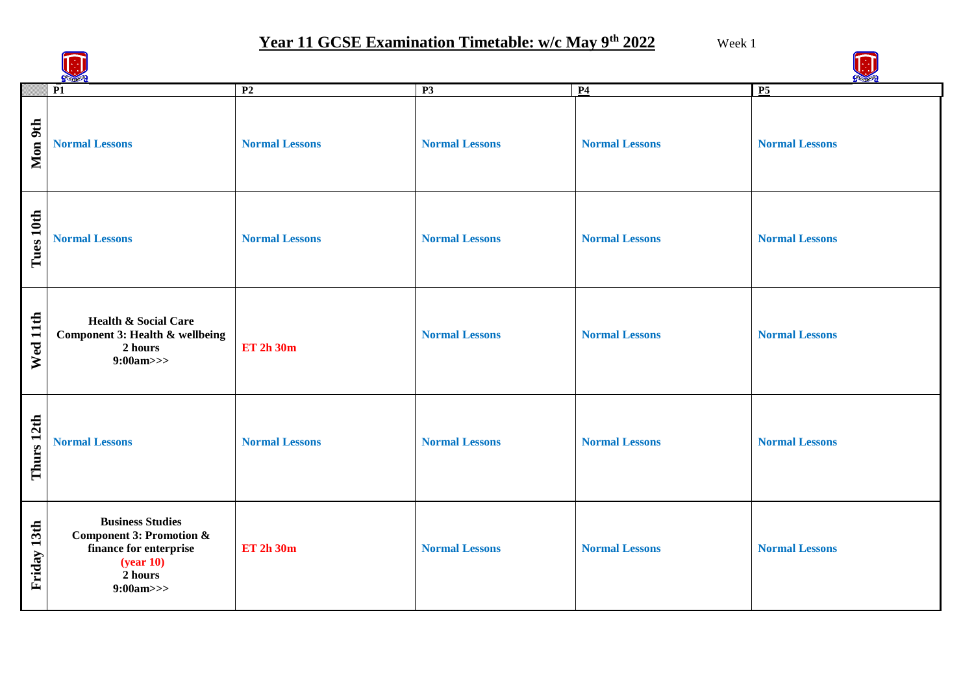# **Year 11 GCSE Examination Timetable: w/c May 9th 2022** Week 1

|             | $\overline{P1}$                                                                                                              | P <sub>2</sub>        | P3                    | P <sub>4</sub>        | $P_5$                 |  |
|-------------|------------------------------------------------------------------------------------------------------------------------------|-----------------------|-----------------------|-----------------------|-----------------------|--|
| Mon 9th     | <b>Normal Lessons</b>                                                                                                        | <b>Normal Lessons</b> | <b>Normal Lessons</b> | <b>Normal Lessons</b> | <b>Normal Lessons</b> |  |
| Tues 10th   | <b>Normal Lessons</b>                                                                                                        | <b>Normal Lessons</b> | <b>Normal Lessons</b> | <b>Normal Lessons</b> | <b>Normal Lessons</b> |  |
| Wed 11th    | <b>Health &amp; Social Care</b><br>Component 3: Health & wellbeing<br>2 hours<br>9:00am>>                                    | <b>ET 2h 30m</b>      | <b>Normal Lessons</b> | <b>Normal Lessons</b> | <b>Normal Lessons</b> |  |
| Thurs 12th  | <b>Normal Lessons</b>                                                                                                        | <b>Normal Lessons</b> | <b>Normal Lessons</b> | <b>Normal Lessons</b> | <b>Normal Lessons</b> |  |
| Friday 13th | <b>Business Studies</b><br><b>Component 3: Promotion &amp;</b><br>finance for enterprise<br>(year 10)<br>2 hours<br>9:00am>> | <b>ET 2h 30m</b>      | <b>Normal Lessons</b> | <b>Normal Lessons</b> | <b>Normal Lessons</b> |  |

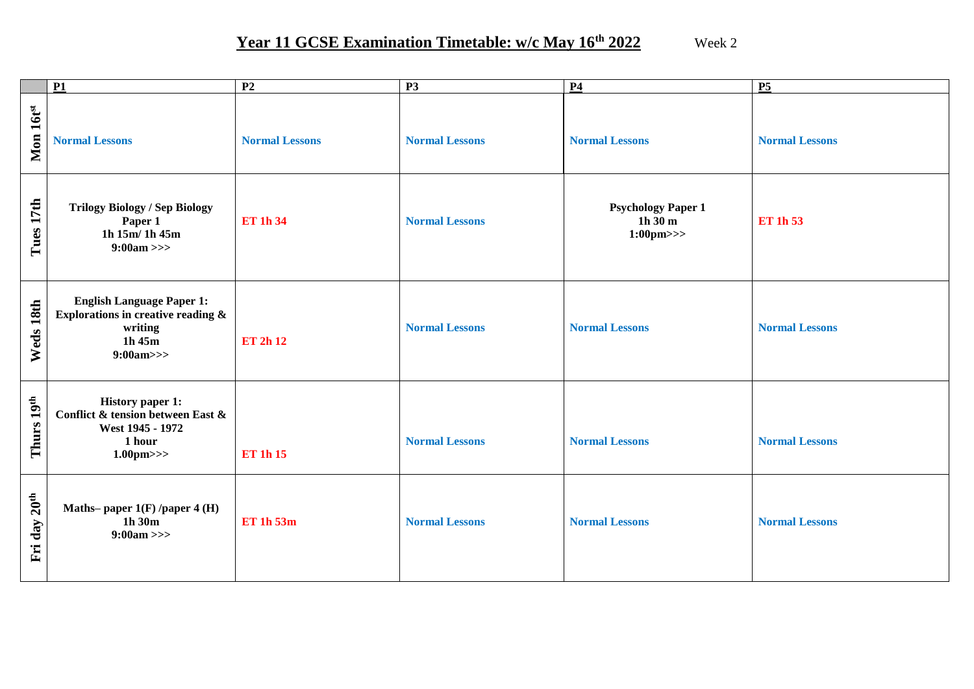## **Year 11 GCSE Examination Timetable: w/c May 16th 2022** Week 2

|                             | $\overline{P1}$                                                                                                   | $\overline{P2}$       | $\overline{P3}$       | P <sub>4</sub>                                                         | $\overline{P5}$       |
|-----------------------------|-------------------------------------------------------------------------------------------------------------------|-----------------------|-----------------------|------------------------------------------------------------------------|-----------------------|
| Mon 16tst                   | <b>Normal Lessons</b>                                                                                             | <b>Normal Lessons</b> | <b>Normal Lessons</b> | <b>Normal Lessons</b>                                                  | <b>Normal Lessons</b> |
| Tues 17th                   | <b>Trilogy Biology / Sep Biology</b><br>Paper 1<br>1h 15m/ 1h 45m<br>$9:00am \gg$                                 | <b>ET 1h 34</b>       | <b>Normal Lessons</b> | <b>Psychology Paper 1</b><br>$1h\overline{30}m$<br>$1:00 \text{pm} >>$ | <b>ET 1h 53</b>       |
| Weds 18th                   | <b>English Language Paper 1:</b><br>Explorations in creative reading &<br>writing<br>$1h$ 45 $m$<br>9:00am>>      | <b>ET 2h 12</b>       | <b>Normal Lessons</b> | <b>Normal Lessons</b>                                                  | <b>Normal Lessons</b> |
| Thurs 19 <sup>th</sup>      | <b>History paper 1:</b><br>Conflict & tension between East &<br>West 1945 - 1972<br>1 hour<br>$1.00 \text{pm} >>$ | <b>ET 1h 15</b>       | <b>Normal Lessons</b> | <b>Normal Lessons</b>                                                  | <b>Normal Lessons</b> |
| 20 <sup>th</sup><br>Fri day | Maths-paper 1(F) /paper 4 (H)<br>1h30m<br>$9:00am \gg$                                                            | <b>ET 1h 53m</b>      | <b>Normal Lessons</b> | <b>Normal Lessons</b>                                                  | <b>Normal Lessons</b> |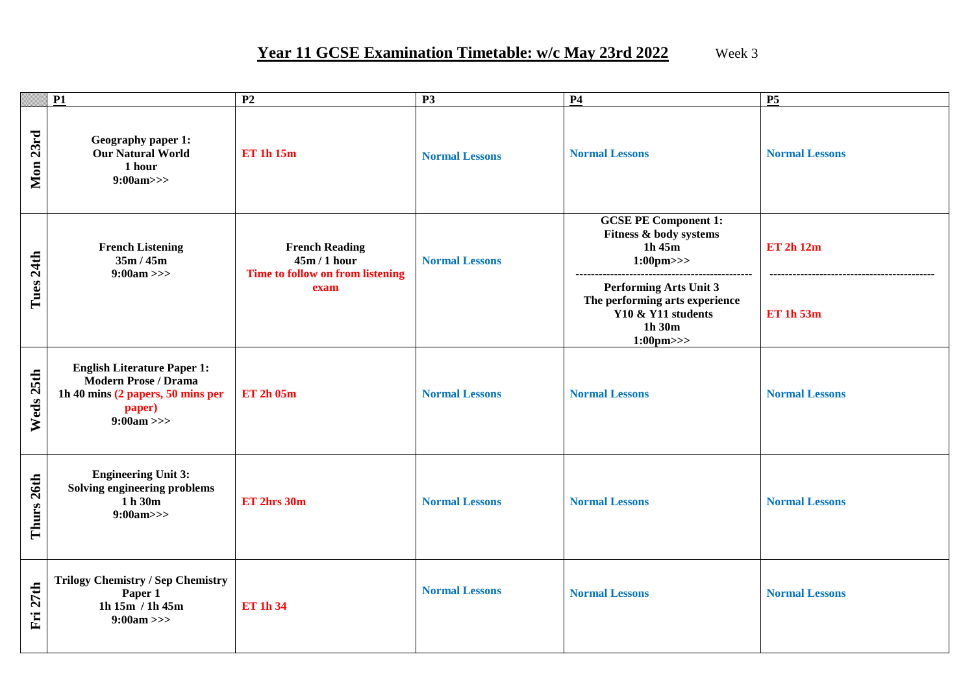#### **Year 11 GCSE Examination Timetable: w/c May 23rd 2022** Week 3

|              | $\overline{P1}$                                                                                                                  | P <sub>2</sub>                                                            | $\overline{P3}$       | <b>P4</b>                                                                                                                   | P5                                                       |
|--------------|----------------------------------------------------------------------------------------------------------------------------------|---------------------------------------------------------------------------|-----------------------|-----------------------------------------------------------------------------------------------------------------------------|----------------------------------------------------------|
| Mon 23rd     | Geography paper 1:<br><b>Our Natural World</b><br>1 hour<br>9:00am>>                                                             | <b>ET 1h 15m</b>                                                          | <b>Normal Lessons</b> | <b>Normal Lessons</b>                                                                                                       | <b>Normal Lessons</b>                                    |
|              | <b>French Listening</b><br>35m/45m<br>$9:00am \gg$                                                                               | <b>French Reading</b><br>$45m/1$ hour<br>Time to follow on from listening | <b>Normal Lessons</b> | <b>GCSE PE Component 1:</b><br>Fitness & body systems<br>$1h$ 45 $m$<br>$1:00 \text{pm} >>$                                 | ET 2h 12m                                                |
| Tues 24th    |                                                                                                                                  | exam                                                                      |                       | <b>Performing Arts Unit 3</b><br>The performing arts experience<br>Y10 & Y11 students<br>$1h$ 30 $m$<br>$1:00 \text{pm} >>$ | ------------------------------------<br><b>ET 1h 53m</b> |
| Weds 25th    | <b>English Literature Paper 1:</b><br><b>Modern Prose / Drama</b><br>1h 40 mins (2 papers, 50 mins per<br>paper)<br>$9:00am \gg$ | <b>ET 2h 05m</b>                                                          | <b>Normal Lessons</b> | <b>Normal Lessons</b>                                                                                                       | <b>Normal Lessons</b>                                    |
| Thurs 26th   | <b>Engineering Unit 3:</b><br>Solving engineering problems<br>1 h 30m<br>9:00am>>                                                | ET 2hrs 30m                                                               | <b>Normal Lessons</b> | <b>Normal Lessons</b>                                                                                                       | <b>Normal Lessons</b>                                    |
| 27th<br>Fri. | <b>Trilogy Chemistry / Sep Chemistry</b><br>Paper 1<br>1h $15m$ / 1h $45m$<br>$9:00am \gg$                                       | <b>ET 1h 34</b>                                                           | <b>Normal Lessons</b> | <b>Normal Lessons</b>                                                                                                       | <b>Normal Lessons</b>                                    |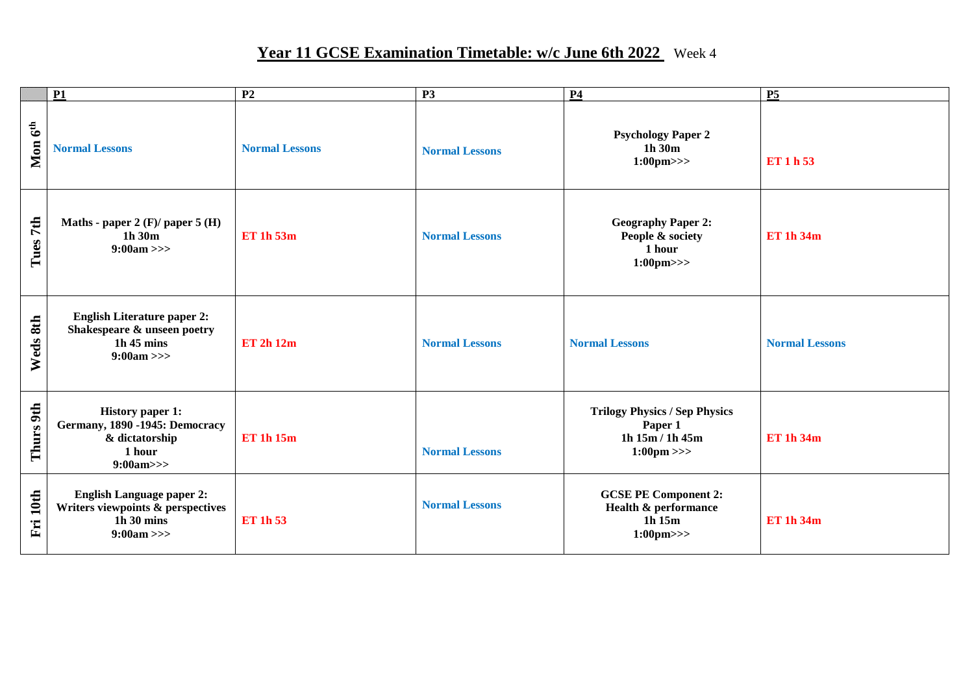## Year 11 GCSE Examination Timetable: w/c June 6th 2022 Week 4

|             | <b>P1</b>                                                                                                      | P <sub>2</sub>        | <b>P3</b>             | P <sub>4</sub>                                                                             | <b>P5</b>             |
|-------------|----------------------------------------------------------------------------------------------------------------|-----------------------|-----------------------|--------------------------------------------------------------------------------------------|-----------------------|
| Mon $6th$   | <b>Normal Lessons</b>                                                                                          | <b>Normal Lessons</b> | <b>Normal Lessons</b> | <b>Psychology Paper 2</b><br>1h 30m<br>$1:00 \text{pm} >>$                                 | ET 1 h 53             |
| Tues 7th    | Maths - paper 2 (F)/ paper 5 (H)<br>$1h$ 30 $m$<br>$9:00am \gg$                                                | <b>ET 1h 53m</b>      | <b>Normal Lessons</b> | <b>Geography Paper 2:</b><br>People & society<br>1 hour<br>$1:00 \text{pm} >>$             | <b>ET 1h 34m</b>      |
| 8th<br>Weds | <b>English Literature paper 2:</b><br>Shakespeare & unseen poetry<br>$1h$ 45 mins<br>$9:00am \gg$              | <b>ET 2h 12m</b>      | <b>Normal Lessons</b> | <b>Normal Lessons</b>                                                                      | <b>Normal Lessons</b> |
| Thurs 9th   | <b>History paper 1:</b><br>Germany, 1890 -1945: Democracy<br>& dictatorship<br>1 hour<br>9:00am>>              | <b>ET 1h 15m</b>      | <b>Normal Lessons</b> | <b>Trilogy Physics / Sep Physics</b><br>Paper 1<br>1h 15m / 1h 45m<br>$1:00 \text{pm} \gg$ | <b>ET 1h 34m</b>      |
| Fri 10th    | <b>English Language paper 2:</b><br>Writers viewpoints & perspectives<br>$1h\,30 \text{ mins}$<br>$9:00am \gg$ | <b>ET 1h 53</b>       | <b>Normal Lessons</b> | <b>GCSE PE Component 2:</b><br>Health & performance<br>1h 15m<br>$1:00 \text{pm} >>$       | <b>ET 1h 34m</b>      |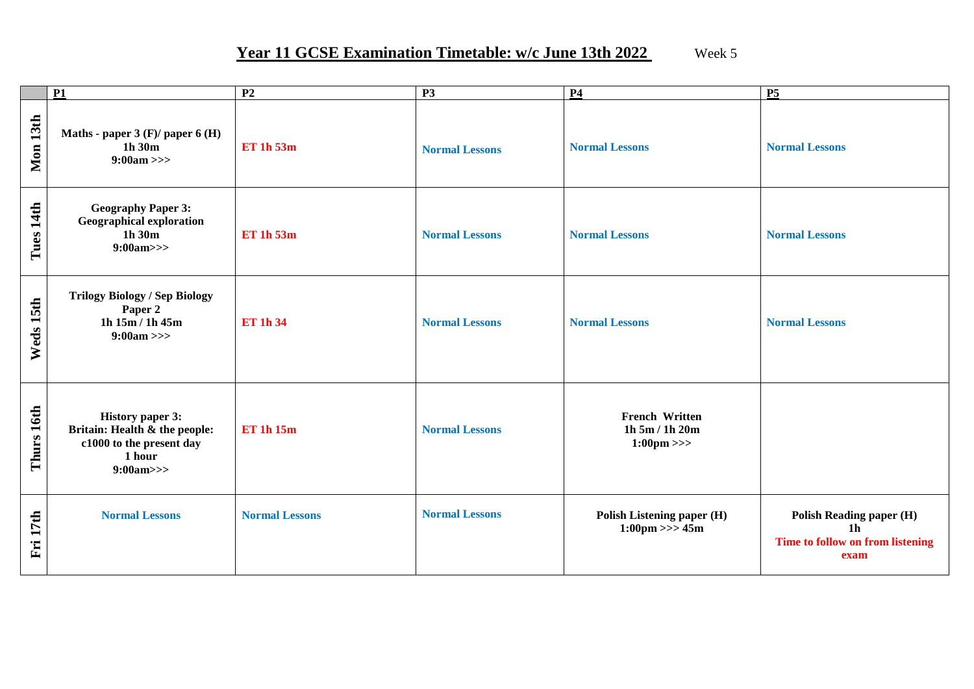#### Year 11 GCSE Examination Timetable: w/c June 13th 2022 Week 5

|                 | <b>P1</b>                                                                                                  | P <sub>2</sub>        | <b>P3</b>             | <b>P4</b>                                                       | <b>P5</b>                                                                                     |
|-----------------|------------------------------------------------------------------------------------------------------------|-----------------------|-----------------------|-----------------------------------------------------------------|-----------------------------------------------------------------------------------------------|
| <b>Mon 13th</b> | Maths - paper $3$ (F)/ paper $6$ (H)<br>1h 30m<br>$9:00am \gg$                                             | <b>ET 1h 53m</b>      | <b>Normal Lessons</b> | <b>Normal Lessons</b>                                           | <b>Normal Lessons</b>                                                                         |
| Tues 14th       | <b>Geography Paper 3:</b><br><b>Geographical exploration</b><br>1h30m<br>9:00am>>                          | <b>ET 1h 53m</b>      | <b>Normal Lessons</b> | <b>Normal Lessons</b>                                           | <b>Normal Lessons</b>                                                                         |
| Weds 15th       | <b>Trilogy Biology / Sep Biology</b><br>Paper 2<br>1h $15m/1h$ 45m<br>$9:00am \gg$                         | <b>ET 1h 34</b>       | <b>Normal Lessons</b> | <b>Normal Lessons</b>                                           | <b>Normal Lessons</b>                                                                         |
| Thurs 16th      | <b>History paper 3:</b><br>Britain: Health & the people:<br>c1000 to the present day<br>1 hour<br>9:00am>> | <b>ET 1h 15m</b>      | <b>Normal Lessons</b> | <b>French Written</b><br>1h 5m / 1h 20m<br>$1:00 \text{pm} \gg$ |                                                                                               |
| Fri 17th        | <b>Normal Lessons</b>                                                                                      | <b>Normal Lessons</b> | <b>Normal Lessons</b> | Polish Listening paper (H)<br>$1:00 \text{pm} >> 45 \text{m}$   | <b>Polish Reading paper (H)</b><br>1 <sub>h</sub><br>Time to follow on from listening<br>exam |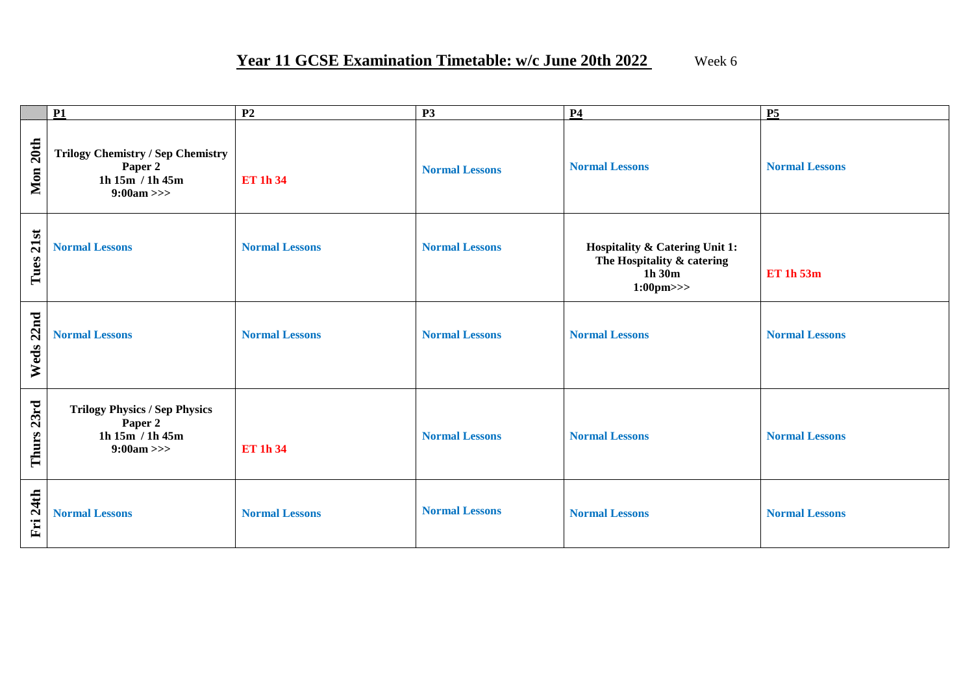|                               | P1                                                                                       | P <sub>2</sub>        | <b>P3</b>             | <b>P4</b>                                                                                     | <b>P5</b>             |
|-------------------------------|------------------------------------------------------------------------------------------|-----------------------|-----------------------|-----------------------------------------------------------------------------------------------|-----------------------|
| Mon 20th                      | <b>Trilogy Chemistry / Sep Chemistry</b><br>Paper 2<br>1h $15m / 1h 45m$<br>$9:00am \gg$ | <b>ET 1h 34</b>       | <b>Normal Lessons</b> | <b>Normal Lessons</b>                                                                         | <b>Normal Lessons</b> |
| 21st<br>Tues                  | <b>Normal Lessons</b>                                                                    | <b>Normal Lessons</b> | <b>Normal Lessons</b> | Hospitality & Catering Unit 1:<br>The Hospitality & catering<br>1h 30m<br>$1:00 \text{pm} >>$ | <b>ET 1h 53m</b>      |
| 22nd<br>Weds                  | <b>Normal Lessons</b>                                                                    | <b>Normal Lessons</b> | <b>Normal Lessons</b> | <b>Normal Lessons</b>                                                                         | <b>Normal Lessons</b> |
| Thurs 23rd                    | <b>Trilogy Physics / Sep Physics</b><br>Paper 2<br>1h 15m / 1h 45m<br>$9:00am \gg$       | <b>ET 1h 34</b>       | <b>Normal Lessons</b> | <b>Normal Lessons</b>                                                                         | <b>Normal Lessons</b> |
| <b>24th</b><br>$\mathbf{F}$ i | <b>Normal Lessons</b>                                                                    | <b>Normal Lessons</b> | <b>Normal Lessons</b> | <b>Normal Lessons</b>                                                                         | <b>Normal Lessons</b> |